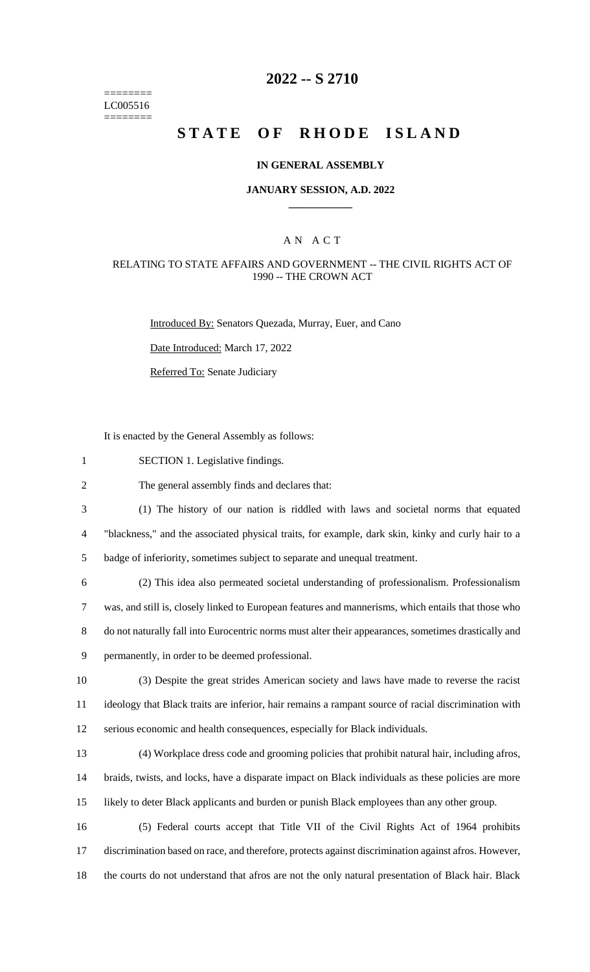======== LC005516  $=$ 

# **2022 -- S 2710**

# **STATE OF RHODE ISLAND**

#### **IN GENERAL ASSEMBLY**

#### **JANUARY SESSION, A.D. 2022 \_\_\_\_\_\_\_\_\_\_\_\_**

## A N A C T

### RELATING TO STATE AFFAIRS AND GOVERNMENT -- THE CIVIL RIGHTS ACT OF 1990 -- THE CROWN ACT

Introduced By: Senators Quezada, Murray, Euer, and Cano

Date Introduced: March 17, 2022

Referred To: Senate Judiciary

It is enacted by the General Assembly as follows:

| $\mathbf{1}$   | SECTION 1. Legislative findings.                                                                     |
|----------------|------------------------------------------------------------------------------------------------------|
| $\overline{2}$ | The general assembly finds and declares that:                                                        |
| 3              | (1) The history of our nation is riddled with laws and societal norms that equated                   |
| $\overline{4}$ | "blackness," and the associated physical traits, for example, dark skin, kinky and curly hair to a   |
| 5              | badge of inferiority, sometimes subject to separate and unequal treatment.                           |
| 6              | (2) This idea also permeated societal understanding of professionalism. Professionalism              |
| $\tau$         | was, and still is, closely linked to European features and mannerisms, which entails that those who  |
| 8              | do not naturally fall into Eurocentric norms must alter their appearances, sometimes drastically and |
| 9              | permanently, in order to be deemed professional.                                                     |
| 10             | (3) Despite the great strides American society and laws have made to reverse the racist              |
| 11             | ideology that Black traits are inferior, hair remains a rampant source of racial discrimination with |
| 12             | serious economic and health consequences, especially for Black individuals.                          |
| 13             | (4) Workplace dress code and grooming policies that prohibit natural hair, including afros,          |
| 14             | braids, twists, and locks, have a disparate impact on Black individuals as these policies are more   |
| 15             | likely to deter Black applicants and burden or punish Black employees than any other group.          |
| 16             | (5) Federal courts accept that Title VII of the Civil Rights Act of 1964 prohibits                   |
| 17             | discrimination based on race, and therefore, protects against discrimination against afros. However, |
|                |                                                                                                      |

18 the courts do not understand that afros are not the only natural presentation of Black hair. Black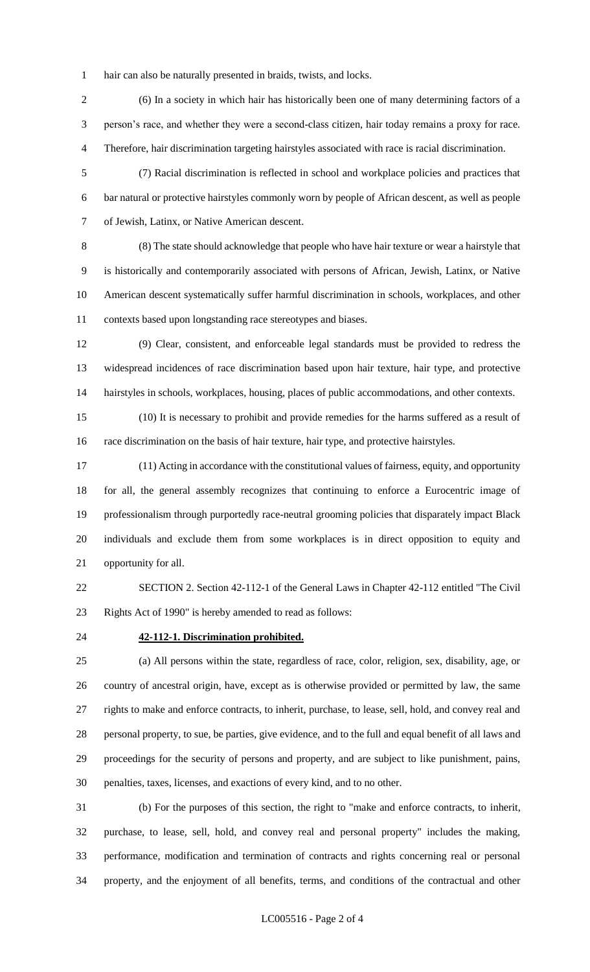hair can also be naturally presented in braids, twists, and locks.

 (6) In a society in which hair has historically been one of many determining factors of a person's race, and whether they were a second-class citizen, hair today remains a proxy for race. Therefore, hair discrimination targeting hairstyles associated with race is racial discrimination.

 (7) Racial discrimination is reflected in school and workplace policies and practices that bar natural or protective hairstyles commonly worn by people of African descent, as well as people of Jewish, Latinx, or Native American descent.

 (8) The state should acknowledge that people who have hair texture or wear a hairstyle that is historically and contemporarily associated with persons of African, Jewish, Latinx, or Native American descent systematically suffer harmful discrimination in schools, workplaces, and other contexts based upon longstanding race stereotypes and biases.

 (9) Clear, consistent, and enforceable legal standards must be provided to redress the widespread incidences of race discrimination based upon hair texture, hair type, and protective hairstyles in schools, workplaces, housing, places of public accommodations, and other contexts.

 (10) It is necessary to prohibit and provide remedies for the harms suffered as a result of race discrimination on the basis of hair texture, hair type, and protective hairstyles.

 (11) Acting in accordance with the constitutional values of fairness, equity, and opportunity for all, the general assembly recognizes that continuing to enforce a Eurocentric image of professionalism through purportedly race-neutral grooming policies that disparately impact Black individuals and exclude them from some workplaces is in direct opposition to equity and opportunity for all.

 SECTION 2. Section 42-112-1 of the General Laws in Chapter 42-112 entitled "The Civil Rights Act of 1990" is hereby amended to read as follows:

#### **42-112-1. Discrimination prohibited.**

 (a) All persons within the state, regardless of race, color, religion, sex, disability, age, or country of ancestral origin, have, except as is otherwise provided or permitted by law, the same rights to make and enforce contracts, to inherit, purchase, to lease, sell, hold, and convey real and personal property, to sue, be parties, give evidence, and to the full and equal benefit of all laws and proceedings for the security of persons and property, and are subject to like punishment, pains, penalties, taxes, licenses, and exactions of every kind, and to no other.

 (b) For the purposes of this section, the right to "make and enforce contracts, to inherit, purchase, to lease, sell, hold, and convey real and personal property" includes the making, performance, modification and termination of contracts and rights concerning real or personal property, and the enjoyment of all benefits, terms, and conditions of the contractual and other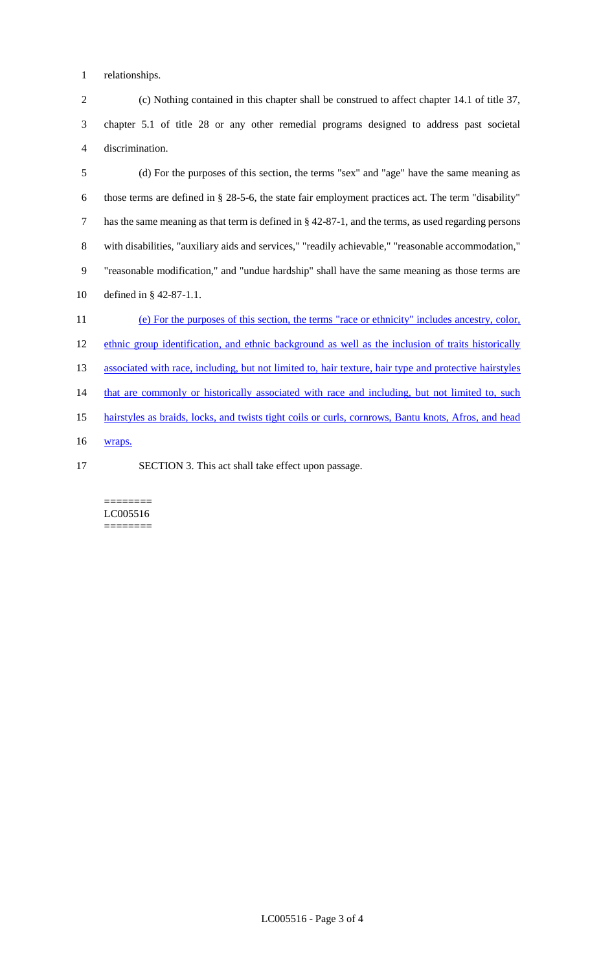relationships.

 (c) Nothing contained in this chapter shall be construed to affect chapter 14.1 of title 37, chapter 5.1 of title 28 or any other remedial programs designed to address past societal discrimination.

 (d) For the purposes of this section, the terms "sex" and "age" have the same meaning as those terms are defined in § 28-5-6, the state fair employment practices act. The term "disability" has the same meaning as that term is defined in § 42-87-1, and the terms, as used regarding persons with disabilities, "auxiliary aids and services," "readily achievable," "reasonable accommodation," "reasonable modification," and "undue hardship" shall have the same meaning as those terms are defined in § 42-87-1.1.

 (e) For the purposes of this section, the terms "race or ethnicity" includes ancestry, color, 12 ethnic group identification, and ethnic background as well as the inclusion of traits historically 13 associated with race, including, but not limited to, hair texture, hair type and protective hairstyles 14 that are commonly or historically associated with race and including, but not limited to, such hairstyles as braids, locks, and twists tight coils or curls, cornrows, Bantu knots, Afros, and head wraps.

SECTION 3. This act shall take effect upon passage.

======== LC005516 ========